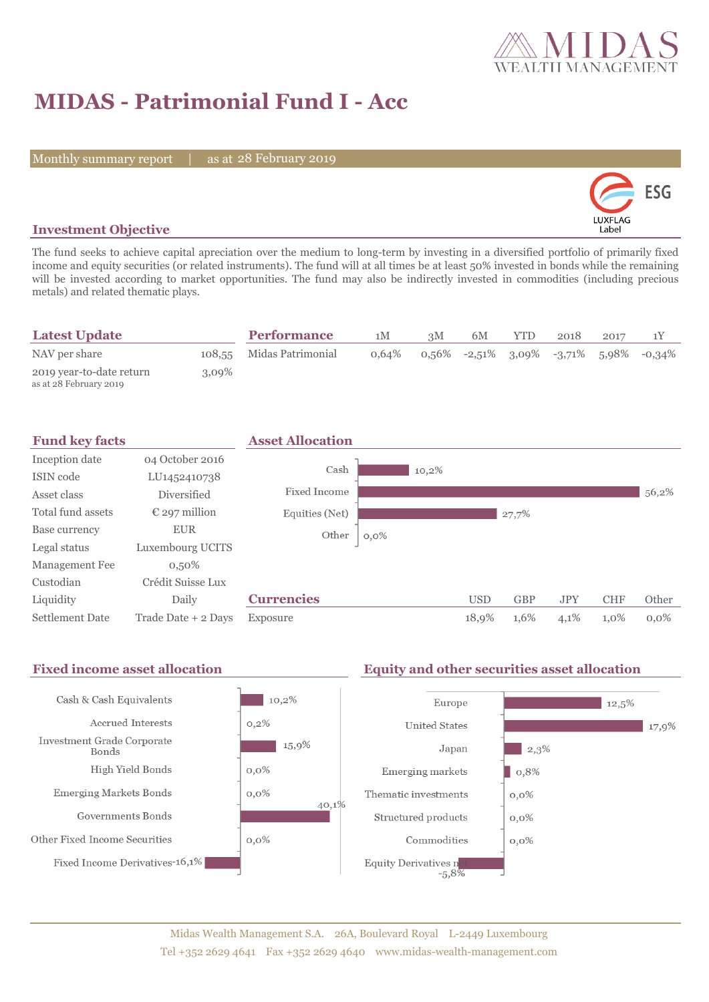

# **MIDAS - Patrimonial Fund I - Acc**

Monthly summary report | as at 28 February 2019



### **Investment Objective**

The fund seeks to achieve capital apreciation over the medium to long-term by investing in a diversified portfolio of primarily fixed income and equity securities (or related instruments). The fund will at all times be at least 50% invested in bonds while the remaining will be invested according to market opportunities. The fund may also be indirectly invested in commodities (including precious metals) and related thematic plays.

| <b>Latest Update</b>                               |          | <b>Performance</b>       | 1M       | 3M    | 6M | YTD. | 2018 | 2017 |                                           |
|----------------------------------------------------|----------|--------------------------|----------|-------|----|------|------|------|-------------------------------------------|
| NAV per share                                      |          | 108,55 Midas Patrimonial | $0.64\%$ | 0.56% |    |      |      |      | $-2,51\%$ 3,09% $-3,71\%$ 5,98% $-0,34\%$ |
| 2019 year-to-date return<br>as at 28 February 2019 | $3.09\%$ |                          |          |       |    |      |      |      |                                           |

| <b>Fund key facts</b>  |                        | <b>Asset Allocation</b> |         |            |            |            |            |         |
|------------------------|------------------------|-------------------------|---------|------------|------------|------------|------------|---------|
| Inception date         | 04 October 2016        |                         |         |            |            |            |            |         |
| ISIN code              | LU1452410738           | Cash                    | 10,2%   |            |            |            |            |         |
| Asset class            | <b>Diversified</b>     | Fixed Income            |         |            |            |            |            | 56,2%   |
| Total fund assets      | $\epsilon$ 297 million | Equities (Net)          |         |            | 27,7%      |            |            |         |
| Base currency          | <b>EUR</b>             | Other                   | $0,0\%$ |            |            |            |            |         |
| Legal status           | Luxembourg UCITS       |                         |         |            |            |            |            |         |
| Management Fee         | $0,50\%$               |                         |         |            |            |            |            |         |
| Custodian              | Crédit Suisse Lux      |                         |         |            |            |            |            |         |
| Liquidity              | Daily                  | <b>Currencies</b>       |         | <b>USD</b> | <b>GBP</b> | <b>JPY</b> | <b>CHF</b> | Other   |
| <b>Settlement Date</b> | Trade Date + 2 Days    | Exposure                |         | 18,9%      | 1,6%       | 4,1%       | 1,0%       | $0.0\%$ |

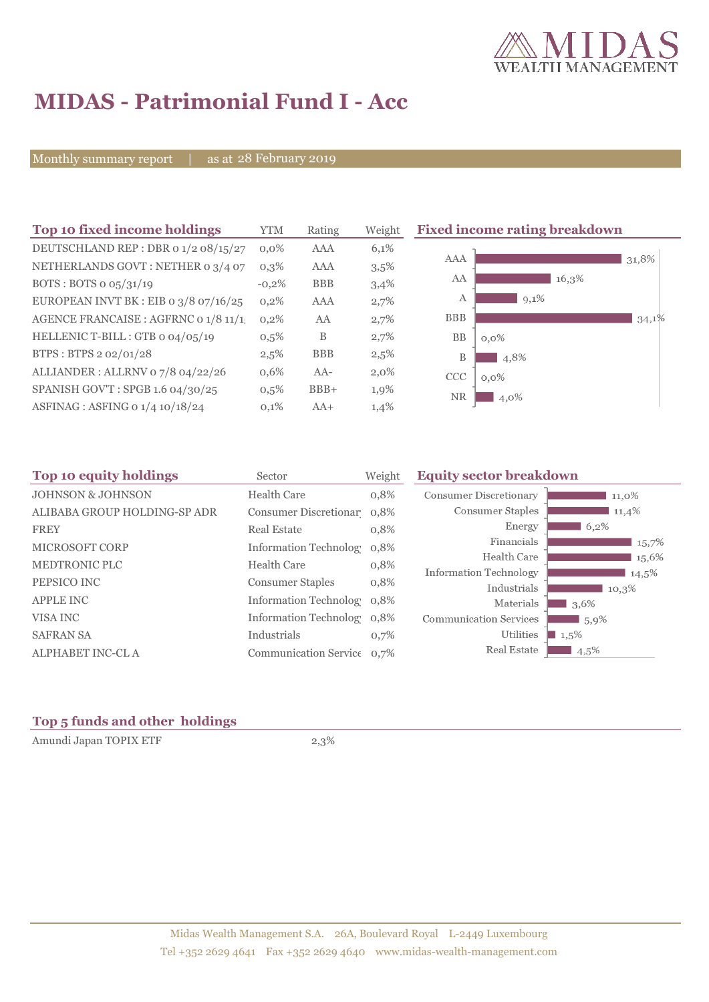

## **MIDAS - Patrimonial Fund I - Acc**

Monthly summary report | as at 28 February 2019

| Top 10 fixed income holdings            | <b>YTM</b> | Rating     | Weight  | <b>Fixed income rating breakdown</b> |  |  |
|-----------------------------------------|------------|------------|---------|--------------------------------------|--|--|
| DEUTSCHLAND REP : DBR 0 1/2 08/15/27    | $0.0\%$    | AAA        | 6,1%    |                                      |  |  |
| NETHERLANDS GOVT: NETHER 0 3/4 07       | $0,3\%$    | AAA        | 3,5%    | AAA<br>31,8%                         |  |  |
| BOTS: BOTS $o$ $o5/31/19$               | $-0,2\%$   | <b>BBB</b> | 3,4%    | AA<br>16,3%                          |  |  |
| EUROPEAN INVT BK : EIB o $3/8$ o7/16/25 | 0,2%       | <b>AAA</b> | 2,7%    | $9,1\%$<br>A                         |  |  |
| AGENCE FRANCAISE : AGFRNC 0 1/8 11/1.   | 0.2%       | AA         | 2,7%    | <b>BBB</b><br>34,1%                  |  |  |
| HELLENIC T-BILL : GTB 0 04/05/19        | 0,5%       | B          | 2,7%    | <b>BB</b><br>$0,0\%$                 |  |  |
| BTPS: BTPS 2 02/01/28                   | 2,5%       | <b>BBB</b> | 2,5%    | B<br>4,8%                            |  |  |
| ALLIANDER: ALLRNV 07/8 04/22/26         | 0,6%       | $AA-$      | $2,0\%$ | <b>CCC</b><br>$0,0\%$                |  |  |
| SPANISH GOV'T: SPGB 1.6 04/30/25        | 0,5%       | $BBB+$     | 1,9%    | <b>NR</b><br>4,0%                    |  |  |
| ASFINAG : ASFING 0 1/4 10/18/24         | 0,1%       | $AA+$      | 1,4%    |                                      |  |  |

| Top 10 equity holdings       | Sector                     | Weight | <b>Equity sector breakdown</b> |                   |  |  |
|------------------------------|----------------------------|--------|--------------------------------|-------------------|--|--|
| <b>JOHNSON &amp; JOHNSON</b> | Health Care                | 0,8%   | <b>Consumer Discretionary</b>  | 11,0%             |  |  |
| ALIBABA GROUP HOLDING-SP ADR | Consumer Discretionar 0,8% |        | Consumer Staples               | 11,4%             |  |  |
| <b>FREY</b>                  | <b>Real Estate</b>         | 0,8%   | Energy                         | 6,2%              |  |  |
| <b>MICROSOFT CORP</b>        | Information Technolog      | 0,8%   | Financials                     | 15,7%             |  |  |
| <b>MEDTRONIC PLC</b>         | <b>Health Care</b>         |        | Health Care                    | 15,6%             |  |  |
|                              |                            | 0,8%   | <b>Information Technology</b>  | $14,5\%$          |  |  |
| PEPSICO INC                  | <b>Consumer Staples</b>    | 0,8%   | Industrials                    | 10,3%             |  |  |
| <b>APPLE INC</b>             | Information Technolog 0.8% |        | Materials                      | $\frac{1}{3,6\%}$ |  |  |
| VISA INC                     | Information Technolog 0.8% |        | <b>Communication Services</b>  | $1,5,9\%$         |  |  |
| <b>SAFRAN SA</b>             | Industrials                | 0,7%   | <b>Utilities</b>               | 1,5%              |  |  |
| ALPHABET INC-CL A            | Communication Service 0,7% |        | Real Estate                    | 4,5%              |  |  |

### **Top 5 funds and other holdings**

Amundi Japan TOPIX ETF 2,3%